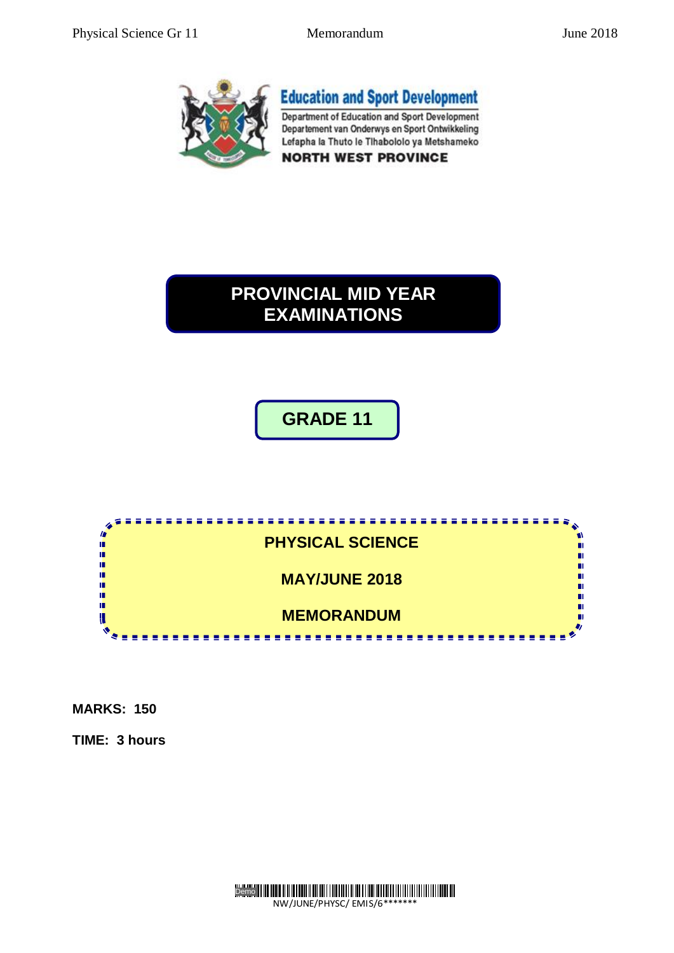

# **PROVINCIAL MID YEAR EXAMINATIONS**

**MID YEAR EXAM**

# **GRADE 11**



**MARKS: 150**

**TIME: 3 hours** 

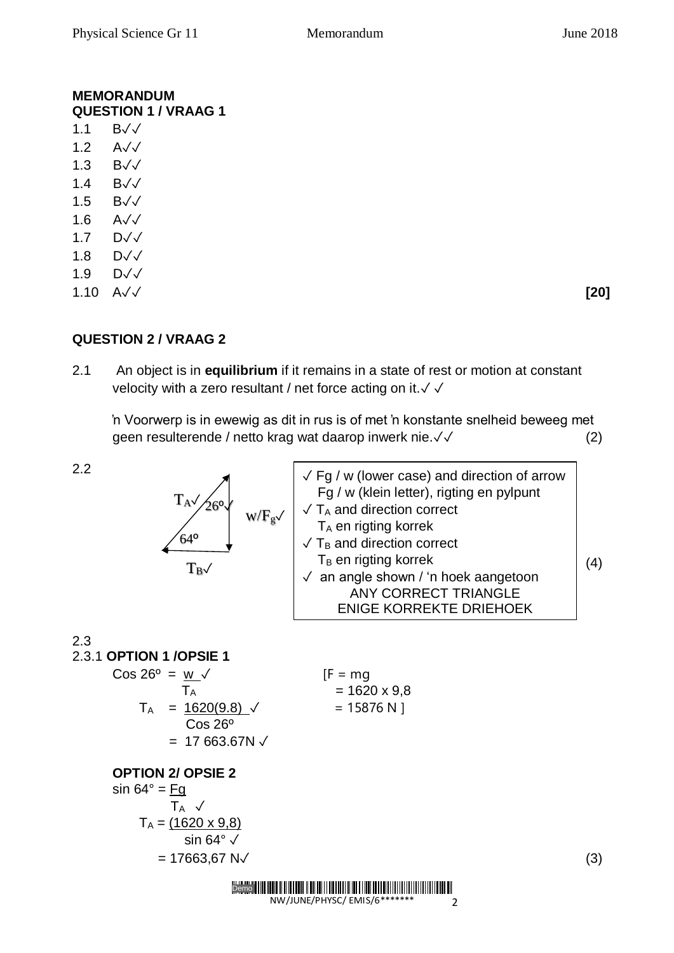#### **MEMORANDUM QUESTION 1 / VRAAG 1**

- 1.1 B✓✓ 1.2 A√√ 1.3 B✓✓ 1.4 B✓✓
- 1.5 B✓✓
- 1.6 A✓✓
- 1.7 D√√
- 1.8 D✓✓
- 1.9 D✓✓
- 1.10 A✓✓ **[20]**

## **QUESTION 2 / VRAAG 2**

2.1 An object is in **equilibrium** if it remains in a state of rest or motion at constant velocity with a zero resultant / net force acting on it. √ √

'n Voorwerp is in ewewig as dit in rus is of met 'n konstante snelheid beweeg met geen resulterende / netto krag wat daarop inwerk nie.✓✓ (2)

2.2



| $\sqrt{F}$ g / w (lower case) and direction of arrow<br>Fg / w (klein letter), rigting en pylpunt |  |
|---------------------------------------------------------------------------------------------------|--|
| $\sqrt{T_A}$ and direction correct                                                                |  |
| T <sub>A</sub> en rigting korrek                                                                  |  |
| $\sqrt{T_B}$ and direction correct                                                                |  |
| $T_B$ en rigting korrek                                                                           |  |
| $\sqrt{ }$ an angle shown / 'n hoek aangetoon                                                     |  |
| <b>ANY CORRECT TRIANGLE</b>                                                                       |  |
| <b>ENIGE KORREKTE DRIEHOEK</b>                                                                    |  |
|                                                                                                   |  |

2.3

2.3.1 **OPTION 1 /OPSIE 1**

$$
\begin{array}{rcl}\n\text{Cos } 26^{\circ} & = & \frac{\mathsf{W}}{\mathsf{T}_{\mathsf{A}}} \\
\sqrt{14} & = & \frac{1620(9.8)}{\mathsf{Cos } 26^{\circ}} \\
& = & 1587 \\
& = & 17663.67 \text{N} \end{array}
$$
\n[F = mg]

 $= 1620 \times 9.8$  $= 15876 N$ ]

#### **OPTION 2/ OPSIE 2**

sin  $64^\circ$  = Fg  $T_A \sqrt{}$  $T_A = (1620 \times 9, 8)$  sin 64° ✓  $= 17663.67 \text{ N} \checkmark$  (3)

> <u>TENEN HAR EN HELDEN HAR DER FRIEDEN FRAM HAR DER FRIEDEN HAR DEN EN HELDEN FRIEDEN FRIEDEN FRIEDEN EN DER EN D</u> Demo NW/JUNE/PHYSC/ EMIS/6\*\*

2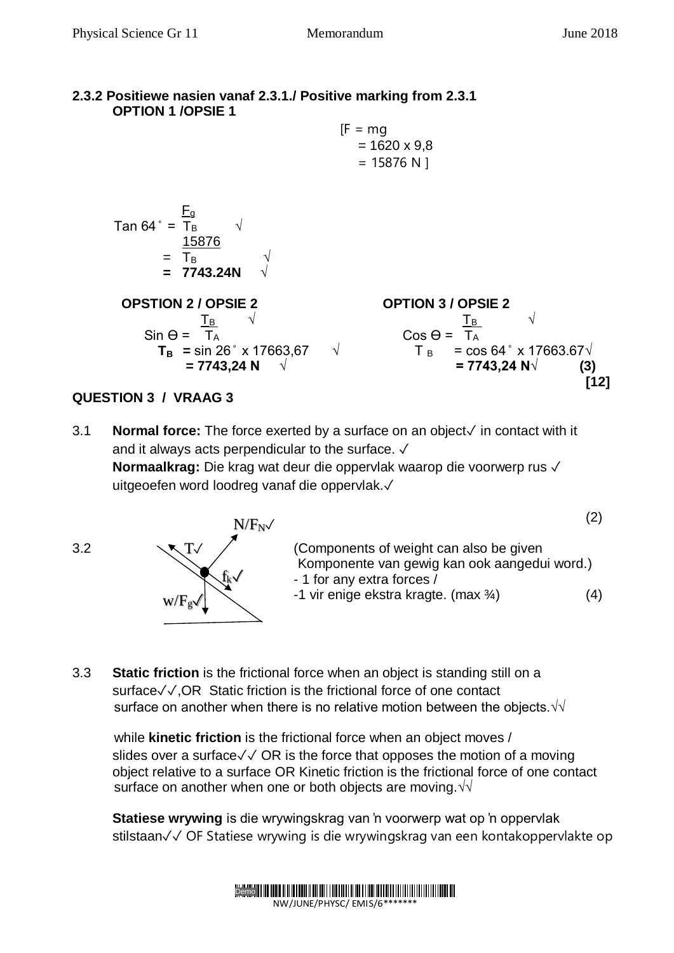#### **2.3.2 Positiewe nasien vanaf 2.3.1./ Positive marking from 2.3.1 OPTION 1 /OPSIE 1**

 $[F = ma]$  $= 1620 \times 9.8$  $= 15876 N$ 

 F<sup>g</sup> Tan 64 ̊ =TB √ 15876 = TB √ **= 7743.24N √**

 **OPSTION 2 / OPSIE 2 OPTION 3 / OPSIE 2**  $\frac{1}{\sqrt{16}}$  √  $\frac{1}{\sqrt{16}}$  √  $\sin \Theta = \Gamma_A$  Cos  $\Theta = \Gamma_A$ 



## **QUESTION 3 / VRAAG 3**

3.1 **Normal force:** The force exerted by a surface on an object✓ in contact with it and it always acts perpendicular to the surface. ✓ **Normaalkrag:** Die krag wat deur die oppervlak waarop die voorwerp rus ✓ uitgeoefen word loodreg vanaf die oppervlak.✓



(2) 3.2  $\sqrt{1}/$  (Components of weight can also be given Komponente van gewig kan ook aangedui word.) - 1 for any extra forces / -1 vir enige ekstra kragte. (max ¾) (4)  $N/F_N$ 

3.3 **Static friction** is the frictional force when an object is standing still on a surface√√, OR Static friction is the frictional force of one contact surface on another when there is no relative motion between the objects. $\sqrt{\sqrt{ }}$ 

 while **kinetic friction** is the frictional force when an object moves / slides over a surface√√ OR is the force that opposes the motion of a moving object relative to a surface OR Kinetic friction is the frictional force of one contact surface on another when one or both objects are moving. √

**Statiese wrywing** is die wrywingskrag van 'n voorwerp wat op 'n oppervlak stilstaan✓✓ OF Statiese wrywing is die wrywingskrag van een kontakoppervlakte op

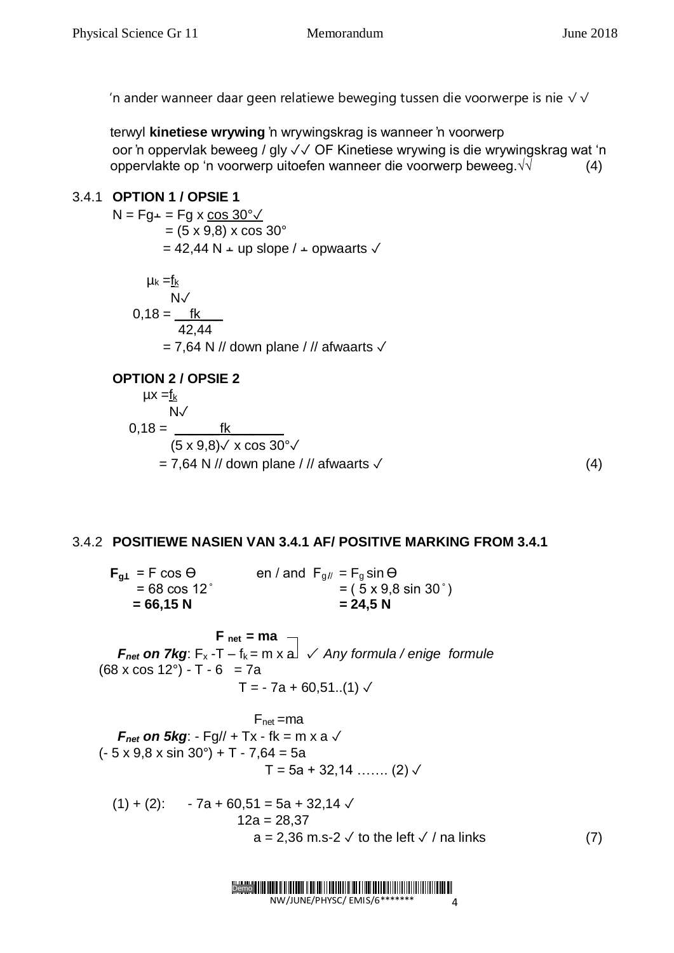'n ander wanneer daar geen relatiewe beweging tussen die voorwerpe is nie  $\sqrt{\sqrt{}}$ 

 terwyl **kinetiese wrywing** 'n wrywingskrag is wanneer 'n voorwerp oor 'n oppervlak beweeg / gly ✓✓ OF Kinetiese wrywing is die wrywingskrag wat 'n oppervlakte op 'n voorwerp uitoefen wanneer die voorwerp beweeg. $\sqrt{v}$  (4)

## 3.4.1 **OPTION 1 / OPSIE 1**

 $N = Fg + Fg$  x cos 30° $\sqrt{ }$  $= (5 \times 9.8) \times \cos 30^{\circ}$  $= 42,44$  N  $\perp$  up slope /  $\perp$  opwaarts  $\sqrt{ }$  $\mu_k = f_k$  $N<sub>0</sub>$  0,18 = \_\_fk\_\_\_ 42,44  $= 7,64$  N // down plane / // afwaarts  $\sqrt{ }$ 

#### **OPTION 2 / OPSIE 2**

$$
\mu x = \frac{f_k}{N\sqrt{N}}
$$
  
0,18 = 
$$
\frac{f_k}{(5 \times 9,8) \sqrt{X} \cos 30^{\circ} \sqrt{N}}
$$
  
= 7,64 N // down plane // afwaarts  $\sqrt{}$  (4)

## 3.4.2 **POSITIEWE NASIEN VAN 3.4.1 AF/ POSITIVE MARKING FROM 3.4.1**

 $\mathbf{F}_{a\perp}$  = F cos  $\Theta$  en / and  $\mathbf{F}_{a\parallel}$  =  $\mathbf{F}_{a}$  sin  $\Theta$  $= 68 \cos 12^\circ$   $= (5 \times 9.8 \sin 30^\circ)$  $= 66,15 \text{ N}$   $= 24,5 \text{ N}$  $F_{net} = ma$  – *F*<sub>net</sub> on 7kg:  $F_x - T - f_k = m \times a$  *i Any formula / enige formule*  $(68 \times \cos 12^{\circ}) - T - 6 = 7a$  $T = -7a + 60,51...(1)$  $F_{net} = ma$ *F*<sub>net</sub> on 5kg: - Fg// + Tx - fk = m x a  $\checkmark$  $(-5 \times 9.8 \times \sin 30^\circ) + T - 7.64 = 5a$  $T = 5a + 32,14$  ……. (2)  $\sqrt{ }$  $(1) + (2)$ : - 7a + 60,51 = 5a + 32,14  $\sqrt{ }$  $12a = 28,37$  $a = 2,36$  m.s-2  $\checkmark$  to the left  $\checkmark$  / na links (7)

Demo **Maria Maria Maria Maria Maria Maria Maria Maria Maria Maria Maria Maria Maria Maria Maria Maria Maria Mar** NW/JUNE/PHYSC/ EMIS/6\*\*\*  $\overline{A}$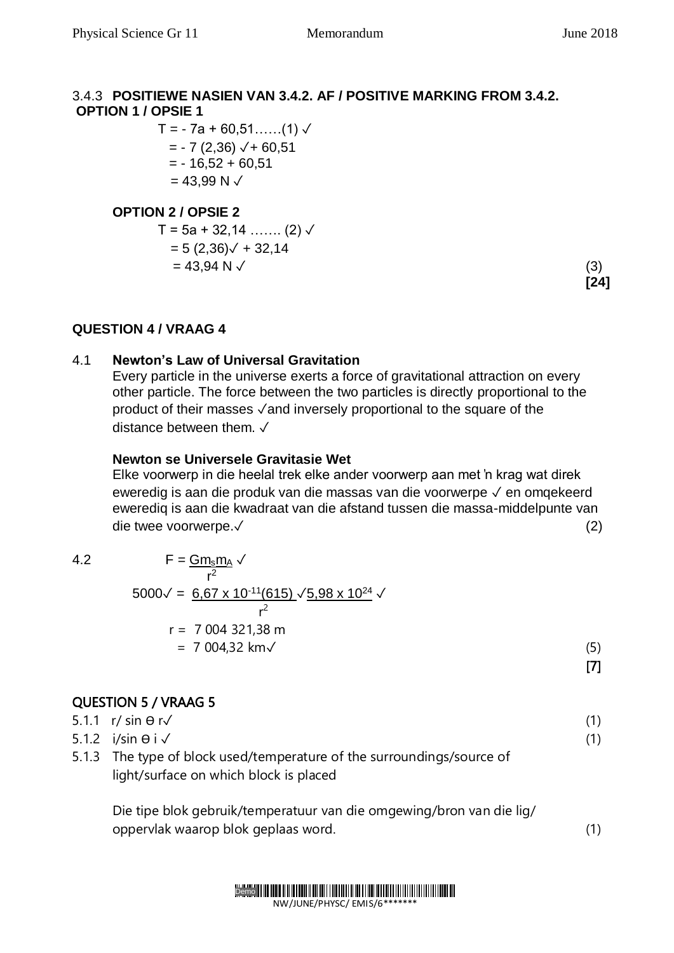## 3.4.3 **POSITIEWE NASIEN VAN 3.4.2. AF / POSITIVE MARKING FROM 3.4.2. OPTION 1 / OPSIE 1**

 $T = -7a + 60,51...$  (1)  $\sqrt{ }$  $= -7 (2,36)$   $\sqrt{+60,51}$  $= -16,52 + 60,51$  $= 43,99$  N  $\checkmark$ 

## **OPTION 2 / OPSIE 2**

 $T = 5a + 32,14$  ……. (2)  $\sqrt{ }$  $= 5 (2,36) \sqrt{+32,14}$  $= 43,94 \text{ N } \checkmark$  (3)

**[24]**

## **QUESTION 4 / VRAAG 4**

#### 4.1 **Newton's Law of Universal Gravitation**

Every particle in the universe exerts a force of gravitational attraction on every other particle. The force between the two particles is directly proportional to the product of their masses √and inversely proportional to the square of the distance between them. ✓

#### **Newton se Universele Gravitasie Wet**

Elke voorwerp in die heelal trek elke ander voorwerp aan met 'n krag wat direk eweredig is aan die produk van die massas van die voorwerpe ✓ en omqekeerd ewerediq is aan die kwadraat van die afstand tussen die massa-middelpunte van die twee voorwerpe.✓ (2)

4.2 
$$
F = \frac{Gm_s m_A}{r^2} \sqrt{r^2}
$$
  
\n5000 $\sqrt{r^2} = \frac{6.67 \times 10^{-11}(615) \sqrt{5.98 \times 10^{24}} \sqrt{r^2}}{r^2}$   
\n
$$
r = 7.004321,38 \text{ m}
$$
  
\n= 7.004,32 km $\sqrt{r^2}$  (5)

[7]

## QUESTION 5 / VRAAG 5

 $5.1.1 \, \text{r/s}$  in  $\theta \, \text{r} \sqrt{ }$  (1)  $5.1.2$  i/sin  $\Theta$  i  $\checkmark$  (1) 5.1.3 The type of block used/temperature of the surroundings/source of light/surface on which block is placed

Die tipe blok gebruik/temperatuur van die omgewing/bron van die lig/ oppervlak waarop blok geplaas word. (1)

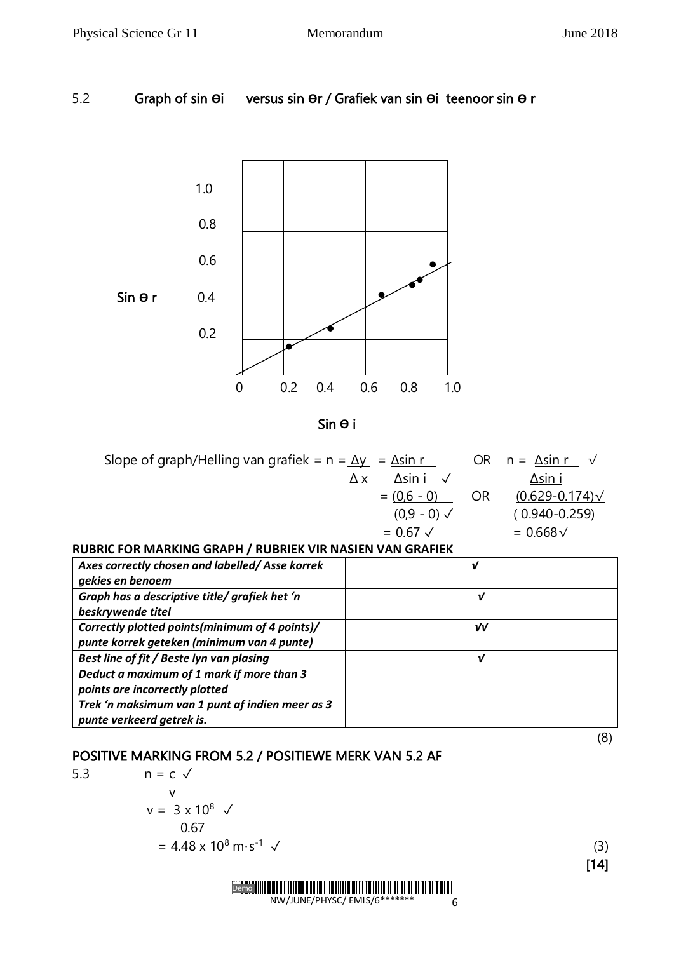## 5.2 Graph of sin **Ө**i versus sin **Ө**r / Grafiek van sin **Ө**i teenoor sin **Ө** r



Sin **Ө** i

| Slope of graph/Helling van grafiek = $n = \Delta y$ = $\Delta \sin r$ |    | OR $n = \Delta \sin r \quad \sqrt{\Delta}$ |
|-----------------------------------------------------------------------|----|--------------------------------------------|
| $\Delta$ sin i $\sqrt{ }$<br>Δx                                       |    | ∆sin i                                     |
| $= (0.6 - 0)$                                                         | OR | $(0.629 - 0.174) \sqrt{ }$                 |
| $(0.9 - 0) \sqrt{2}$                                                  |    | $(0.940 - 0.259)$                          |
| $= 0.67 \sqrt{ }$                                                     |    | $= 0.668 \sqrt{2}$                         |

#### **RUBRIC FOR MARKING GRAPH / RUBRIEK VIR NASIEN VAN GRAFIEK**

| Axes correctly chosen and labelled/Asse korrek<br>gekies en benoem                                                                                          |    |
|-------------------------------------------------------------------------------------------------------------------------------------------------------------|----|
| Graph has a descriptive title/ grafiek het 'n<br>beskrywende titel                                                                                          | ν  |
| Correctly plotted points (minimum of 4 points)/<br>punte korrek geteken (minimum van 4 punte)                                                               | νV |
| Best line of fit / Beste lyn van plasing                                                                                                                    | v  |
| Deduct a maximum of 1 mark if more than 3<br>points are incorrectly plotted<br>Trek 'n maksimum van 1 punt af indien meer as 3<br>punte verkeerd getrek is. |    |

(8)

#### POSITIVE MARKING FROM 5.2 / POSITIEWE MERK VAN 5.2 AF

5.3  $n = c \sqrt{ }$ version of the state of the state of the state of the state of the state of the state of the state of the state of the state of the state of the state of the state of the state of the state of the state of the state of the  $v = 3 \times 10^8$ de *0.67* 

$$
0.67 = 4.48 \times 10^8 \text{ m} \cdot \text{s}^{-1} \checkmark
$$
 (3)

[14]



6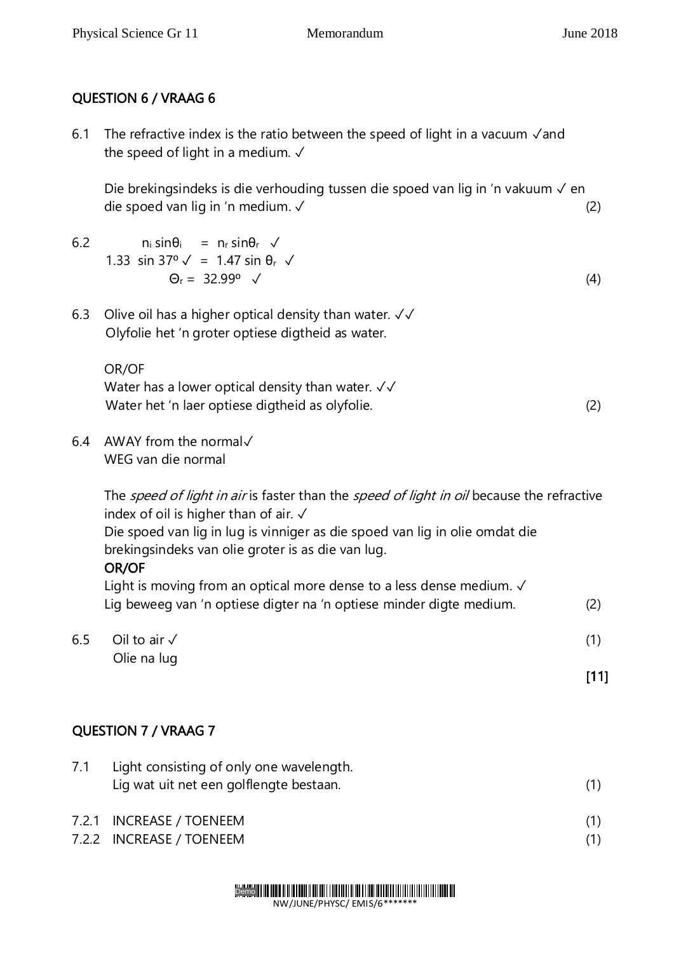## QUESTION 6 / VRAAG 6

6.1 The refractive index is the ratio between the speed of light in a vacuum ✓and the speed of light in a medium.  $\sqrt{ }$ 

Die brekingsindeks is die verhouding tussen die spoed van lig in 'n vakuum √ en die spoed van lig in 'n medium. ✓ (2)

- 6.2  $n_i sin\theta_i = n_r sin\theta_r \sqrt{ }$ 1.33 sin 37°  $\sqrt{ }$  = 1.47 sin θ<sub>r</sub>  $\sqrt{ }$  $\Theta_{r} = 32.99^{\circ}$   $\checkmark$  (4)
	-

6.3 Olive oil has a higher optical density than water. ✓✓ Olyfolie het 'n groter optiese digtheid as water.

#### OR/OF

Water has a lower optical density than water. √√ Water het 'n laer optiese digtheid as olyfolie. (2)

6.4 AWAY from the normal✓ WEG van die normal

> The speed of light in air is faster than the speed of light in oil because the refractive index of oil is higher than of air. ✓

Die spoed van lig in lug is vinniger as die spoed van lig in olie omdat die brekingsindeks van olie groter is as die van lug.

## OR/OF

Light is moving from an optical more dense to a less dense medium.  $√$ Lig beweeg van 'n optiese digter na 'n optiese minder digte medium. (2)

 $6.5$  Oil to air ✓ (1) Olie na lug

[11]

## QUESTION 7 / VRAAG 7

| 7.1 | Light consisting of only one wavelength. |  |  |
|-----|------------------------------------------|--|--|
|     | Lig wat uit net een golflengte bestaan.  |  |  |
|     | 7.2.1 INCREASE / TOENEEM                 |  |  |

7.2.2 INCREASE / TOENEEM (1)

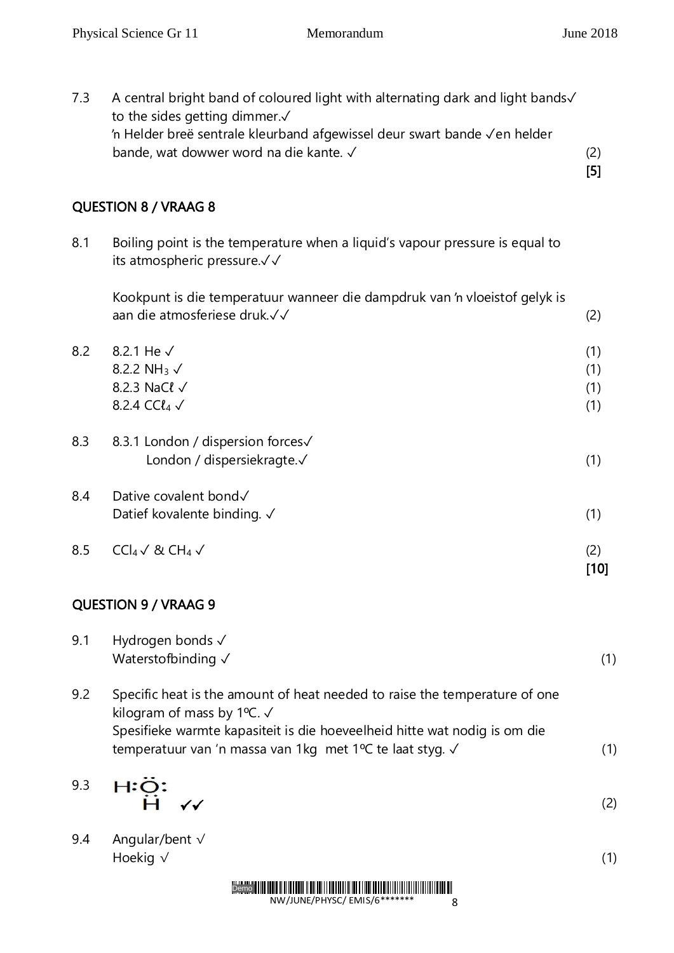| 7.3 | A central bright band of coloured light with alternating dark and light bands V<br>to the sides getting dimmer.√<br>'n Helder breë sentrale kleurband afgewissel deur swart bande Ven helder<br>bande, wat dowwer word na die kante. √ | (2)<br>$[5]$             |
|-----|----------------------------------------------------------------------------------------------------------------------------------------------------------------------------------------------------------------------------------------|--------------------------|
|     | <b>QUESTION 8 / VRAAG 8</b>                                                                                                                                                                                                            |                          |
| 8.1 | Boiling point is the temperature when a liquid's vapour pressure is equal to<br>its atmospheric pressure.√√                                                                                                                            |                          |
|     | Kookpunt is die temperatuur wanneer die dampdruk van 'n vloeistof gelyk is<br>aan die atmosferiese druk.√√                                                                                                                             | (2)                      |
| 8.2 | 8.2.1 He √<br>8.2.2 NH <sub>3</sub> $\sqrt{ }$<br>8.2.3 NaCl √<br>8.2.4 CC $l_4$ $\checkmark$                                                                                                                                          | (1)<br>(1)<br>(1)<br>(1) |
| 8.3 | 8.3.1 London / dispersion forces√<br>London / dispersiekragte.√                                                                                                                                                                        | (1)                      |
| 8.4 | Dative covalent bond√<br>Datief kovalente binding. √                                                                                                                                                                                   | (1)                      |
| 8.5 | $CCl_4 \vee 8CH_4 \vee$                                                                                                                                                                                                                | (2)<br>$[10]$            |

# QUESTION 9 / VRAAG 9

| 9.1 | Hydrogen bonds √<br>Waterstofbinding √                                                                              | (1) |
|-----|---------------------------------------------------------------------------------------------------------------------|-----|
| 9.2 | Specific heat is the amount of heat needed to raise the temperature of one<br>kilogram of mass by 1°C. $\checkmark$ |     |
|     | Spesifieke warmte kapasiteit is die hoeveelheid hitte wat nodig is om die                                           |     |
|     | temperatuur van 'n massa van 1kg met 1°C te laat styg. √                                                            | (1) |

9.3  $H:\ddot{Q}:\ddot{H}$ 

(2)

9.4 Angular/bent √ Hoekig  $\sqrt{ }$  (1)

 $\checkmark$ 

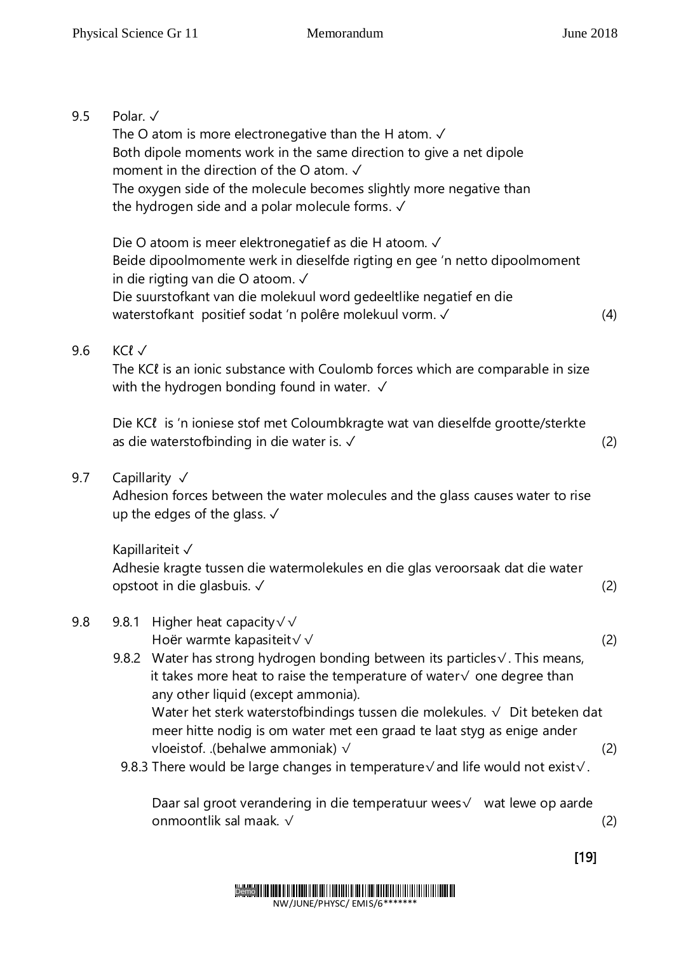## 9.5 Polar. √

The O atom is more electronegative than the H atom. √ Both dipole moments work in the same direction to give a net dipole moment in the direction of the O atom. ✓ The oxygen side of the molecule becomes slightly more negative than the hydrogen side and a polar molecule forms. √

Die O atoom is meer elektronegatief as die H atoom. ✓ Beide dipoolmomente werk in dieselfde rigting en gee 'n netto dipoolmoment in die rigting van die O atoom. ✓ Die suurstofkant van die molekuul word gedeeltlike negatief en die waterstofkant positief sodat 'n polêre molekuul vorm. ✓ (4)

## 9.6 KCl √

The KCl is an ionic substance with Coulomb forces which are comparable in size with the hydrogen bonding found in water. √

Die KCl is 'n ioniese stof met Coloumbkragte wat van dieselfde grootte/sterkte as die waterstofbinding in die water is. ✓ (2)

#### 9.7 Capillarity √

Adhesion forces between the water molecules and the glass causes water to rise up the edges of the glass. √

Kapillariteit ✓

Adhesie kragte tussen die watermolekules en die glas veroorsaak dat die water opstoot in die glasbuis. ✓ (2)

## 9.8 9.8.1 Higher heat capacity√√

Hoër warmte kapasiteit√√ (2)

9.8.2 Water has strong hydrogen bonding between its particles√. This means, it takes more heat to raise the temperature of water√ one degree than any other liquid (except ammonia). Water het sterk waterstofbindings tussen die molekules. √ Dit beteken dat

meer hitte nodig is om water met een graad te laat styg as enige ander vloeistof. .(behalwe ammoniak) √ (2)

9.8.3 There would be large changes in temperature√and life would not exist√.

Daar sal groot verandering in die temperatuur wees√ wat lewe op aarde onmoontlik sal maak. √ (2)

 $[19]$ 

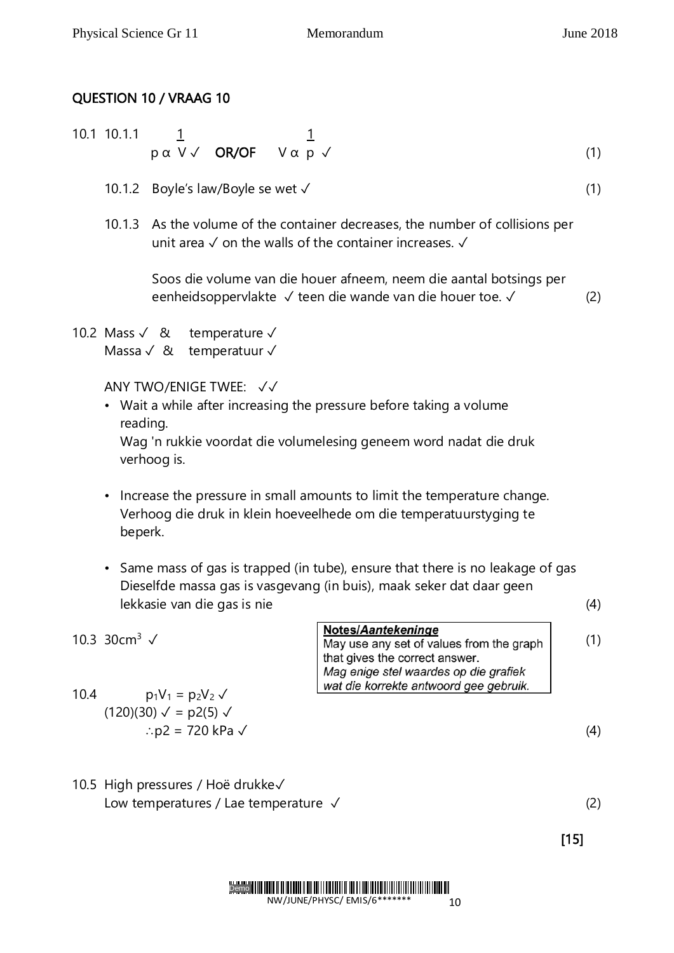## QUESTION 10 / VRAAG 10

- 10.1 10.1.1  $\frac{1}{1}$  1  $p \alpha$  V  $\checkmark$  OR/OF V  $\alpha$   $p$   $\checkmark$  (1)
	- 10.1.2 Boyle's law/Boyle se wet ✓ (1)
	- 10.1.3 As the volume of the container decreases, the number of collisions per unit area ✓ on the walls of the container increases. ✓

Soos die volume van die houer afneem, neem die aantal botsings per eenheidsoppervlakte ✓ teen die wande van die houer toe. ✓ (2)

10.2 Mass ✓ & temperature ✓ Massa ✓ & temperatuur ✓

ANY TWO/ENIGE TWEE: ✓✓

• Wait a while after increasing the pressure before taking a volume reading.

Wag 'n rukkie voordat die volumelesing geneem word nadat die druk verhoog is.

- Increase the pressure in small amounts to limit the temperature change. Verhoog die druk in klein hoeveelhede om die temperatuurstyging te beperk.
- Same mass of gas is trapped (in tube), ensure that there is no leakage of gas Dieselfde massa gas is vasgevang (in buis), maak seker dat daar geen lekkasie van die gas is nie (4)

|                                         | <b>Notes/Aantekeninge</b>                |     |
|-----------------------------------------|------------------------------------------|-----|
| 10.3 30cm <sup>3</sup> $\sqrt{ }$       | May use any set of values from the graph | (1) |
|                                         | that gives the correct answer.           |     |
|                                         | Mag enige stel waardes op die grafiek    |     |
|                                         | wat die korrekte antwoord gee gebruik.   |     |
| 10.4<br>$p_1V_1 = p_2V_2 \sqrt{ }$      |                                          |     |
| $(120)(30) \sqrt{ }$ = p2(5) $\sqrt{ }$ |                                          |     |

$$
\therefore \text{p2} = 720 \text{ kPa} \checkmark \tag{4}
$$

10.5 High pressures / Hoë drukke✓ Low temperatures / Lae temperature ✓ (2)

 $[15]$